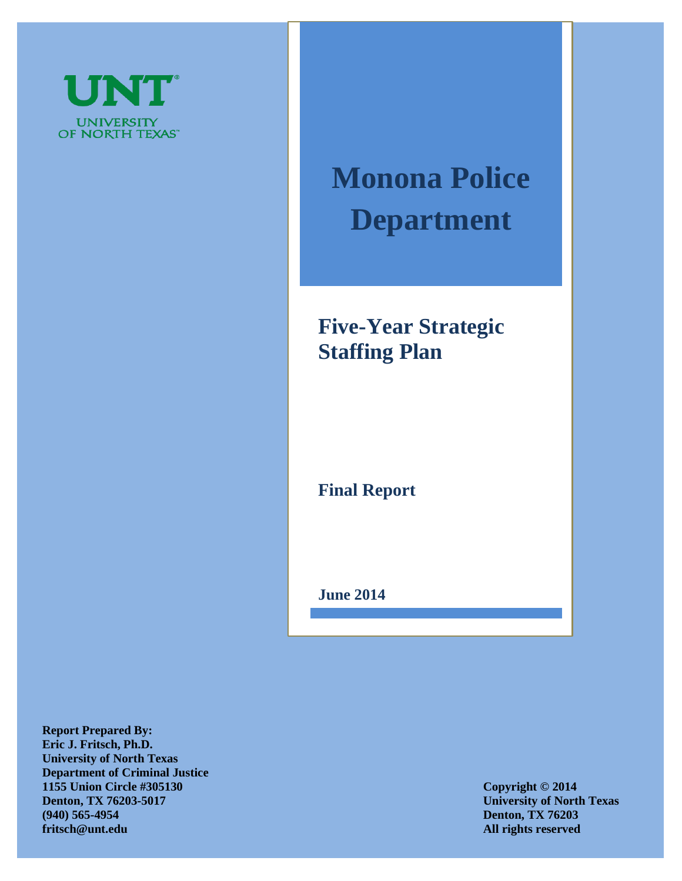

# **Monona Police Department**

## **Five-Year Strategic Staffing Plan**

**Final Report**

**June 2014**

**Report Prepared By: Eric J. Fritsch, Ph.D. University of North Texas Department of Criminal Justice 1155 Union Circle #305130 Copyright © 2014 Denton, TX 76203-5017** University of North Texas **(940) 565-4954 Denton, TX 76203 fritsch@unt.edu All rights reserved**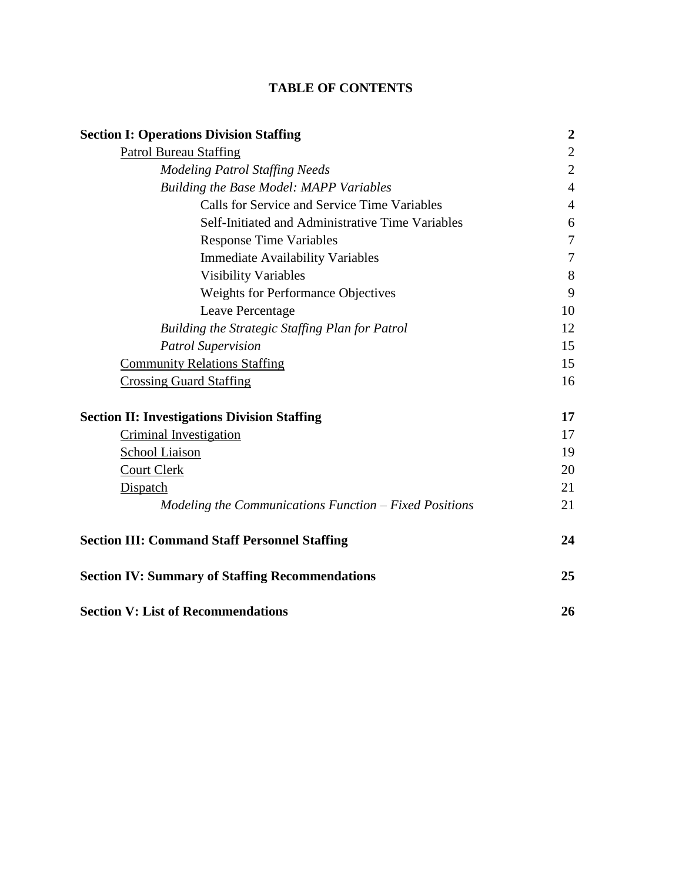### **TABLE OF CONTENTS**

| <b>Section I: Operations Division Staffing</b>         | $\boldsymbol{2}$ |
|--------------------------------------------------------|------------------|
| <b>Patrol Bureau Staffing</b>                          | $\overline{2}$   |
| <b>Modeling Patrol Staffing Needs</b>                  | $\overline{2}$   |
| Building the Base Model: MAPP Variables                | $\overline{4}$   |
| Calls for Service and Service Time Variables           | $\overline{4}$   |
| Self-Initiated and Administrative Time Variables       | 6                |
| <b>Response Time Variables</b>                         | $\overline{7}$   |
| <b>Immediate Availability Variables</b>                | $\tau$           |
| <b>Visibility Variables</b>                            | 8                |
| <b>Weights for Performance Objectives</b>              | 9                |
| Leave Percentage                                       | 10               |
| Building the Strategic Staffing Plan for Patrol        | 12               |
| <b>Patrol Supervision</b>                              | 15               |
| <b>Community Relations Staffing</b>                    | 15               |
| <b>Crossing Guard Staffing</b>                         | 16               |
| <b>Section II: Investigations Division Staffing</b>    | 17               |
| <b>Criminal Investigation</b>                          | 17               |
| School Liaison                                         | 19               |
| <b>Court Clerk</b>                                     | 20               |
| Dispatch                                               | 21               |
| Modeling the Communications Function – Fixed Positions | 21               |
| <b>Section III: Command Staff Personnel Staffing</b>   | 24               |
| <b>Section IV: Summary of Staffing Recommendations</b> | 25               |
| <b>Section V: List of Recommendations</b>              | 26               |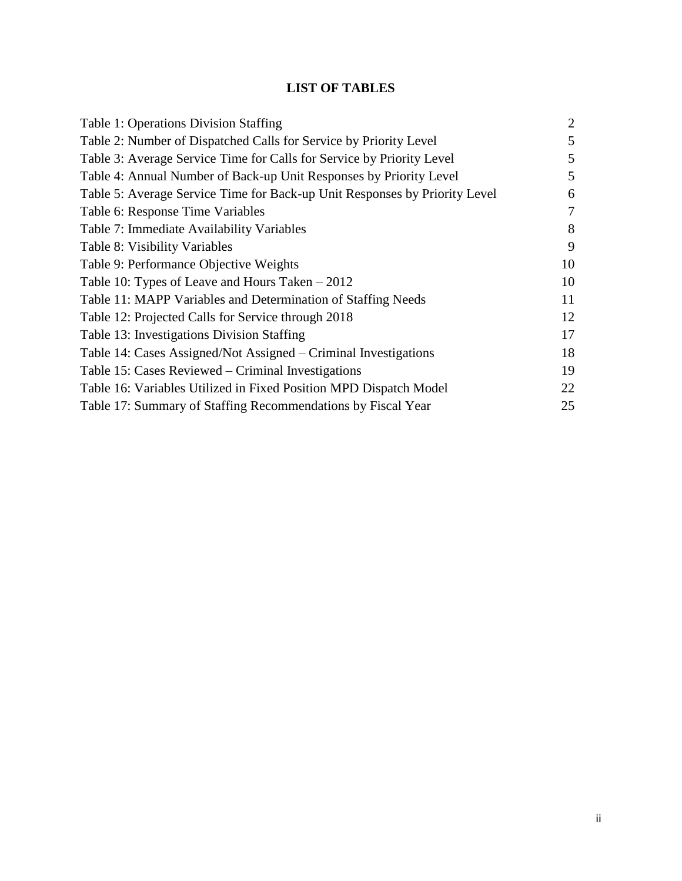### **LIST OF TABLES**

| Table 1: Operations Division Staffing                                      | $\overline{2}$ |
|----------------------------------------------------------------------------|----------------|
| Table 2: Number of Dispatched Calls for Service by Priority Level          | 5              |
| Table 3: Average Service Time for Calls for Service by Priority Level      | 5              |
| Table 4: Annual Number of Back-up Unit Responses by Priority Level         | 5              |
| Table 5: Average Service Time for Back-up Unit Responses by Priority Level | 6              |
| Table 6: Response Time Variables                                           | $\overline{7}$ |
| Table 7: Immediate Availability Variables                                  | 8              |
| Table 8: Visibility Variables                                              | 9              |
| Table 9: Performance Objective Weights                                     | 10             |
| Table 10: Types of Leave and Hours Taken $-2012$                           | 10             |
| Table 11: MAPP Variables and Determination of Staffing Needs               | 11             |
| Table 12: Projected Calls for Service through 2018                         | 12             |
| Table 13: Investigations Division Staffing                                 | 17             |
| Table 14: Cases Assigned/Not Assigned – Criminal Investigations            | 18             |
| Table 15: Cases Reviewed – Criminal Investigations                         | 19             |
| Table 16: Variables Utilized in Fixed Position MPD Dispatch Model          | 22             |
| Table 17: Summary of Staffing Recommendations by Fiscal Year               | 25             |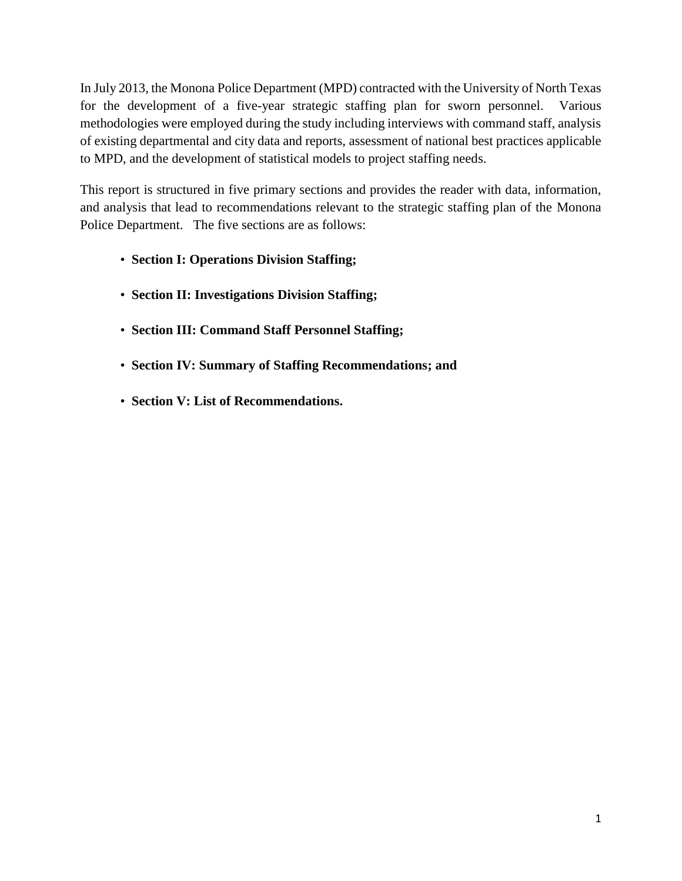In July 2013, the Monona Police Department (MPD) contracted with the University of North Texas for the development of a five-year strategic staffing plan for sworn personnel. Various methodologies were employed during the study including interviews with command staff, analysis of existing departmental and city data and reports, assessment of national best practices applicable to MPD, and the development of statistical models to project staffing needs.

This report is structured in five primary sections and provides the reader with data, information, and analysis that lead to recommendations relevant to the strategic staffing plan of the Monona Police Department. The five sections are as follows:

- **Section I: Operations Division Staffing;**
- **Section II: Investigations Division Staffing;**
- **Section III: Command Staff Personnel Staffing;**
- **Section IV: Summary of Staffing Recommendations; and**
- **Section V: List of Recommendations.**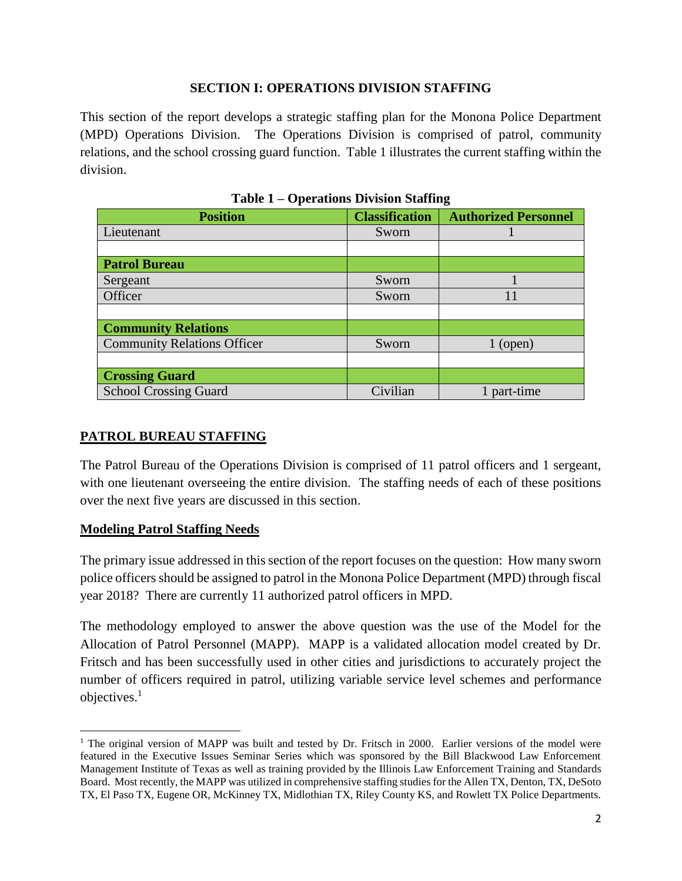#### **SECTION I: OPERATIONS DIVISION STAFFING**

This section of the report develops a strategic staffing plan for the Monona Police Department (MPD) Operations Division. The Operations Division is comprised of patrol, community relations, and the school crossing guard function. Table 1 illustrates the current staffing within the division.

| <b>Position</b>                    | <b>Classification</b> | <b>Authorized Personnel</b> |
|------------------------------------|-----------------------|-----------------------------|
| Lieutenant                         | Sworn                 |                             |
|                                    |                       |                             |
| <b>Patrol Bureau</b>               |                       |                             |
| Sergeant                           | Sworn                 |                             |
| Officer                            | Sworn                 | 11                          |
|                                    |                       |                             |
| <b>Community Relations</b>         |                       |                             |
| <b>Community Relations Officer</b> | Sworn                 | $1$ (open)                  |
|                                    |                       |                             |
| <b>Crossing Guard</b>              |                       |                             |
| <b>School Crossing Guard</b>       | Civilian              | 1 part-time                 |

| Table 1 – Operations Division Staffing |
|----------------------------------------|
|----------------------------------------|

### **PATROL BUREAU STAFFING**

The Patrol Bureau of the Operations Division is comprised of 11 patrol officers and 1 sergeant, with one lieutenant overseeing the entire division. The staffing needs of each of these positions over the next five years are discussed in this section.

### **Modeling Patrol Staffing Needs**

The primary issue addressed in this section of the report focuses on the question: How many sworn police officers should be assigned to patrol in the Monona Police Department (MPD) through fiscal year 2018? There are currently 11 authorized patrol officers in MPD.

The methodology employed to answer the above question was the use of the Model for the Allocation of Patrol Personnel (MAPP). MAPP is a validated allocation model created by Dr. Fritsch and has been successfully used in other cities and jurisdictions to accurately project the number of officers required in patrol, utilizing variable service level schemes and performance objectives.<sup>1</sup>

 $\overline{a}$ <sup>1</sup> The original version of MAPP was built and tested by Dr. Fritsch in 2000. Earlier versions of the model were featured in the Executive Issues Seminar Series which was sponsored by the Bill Blackwood Law Enforcement Management Institute of Texas as well as training provided by the Illinois Law Enforcement Training and Standards Board. Most recently, the MAPP was utilized in comprehensive staffing studies for the Allen TX, Denton, TX, DeSoto TX, El Paso TX, Eugene OR, McKinney TX, Midlothian TX, Riley County KS, and Rowlett TX Police Departments.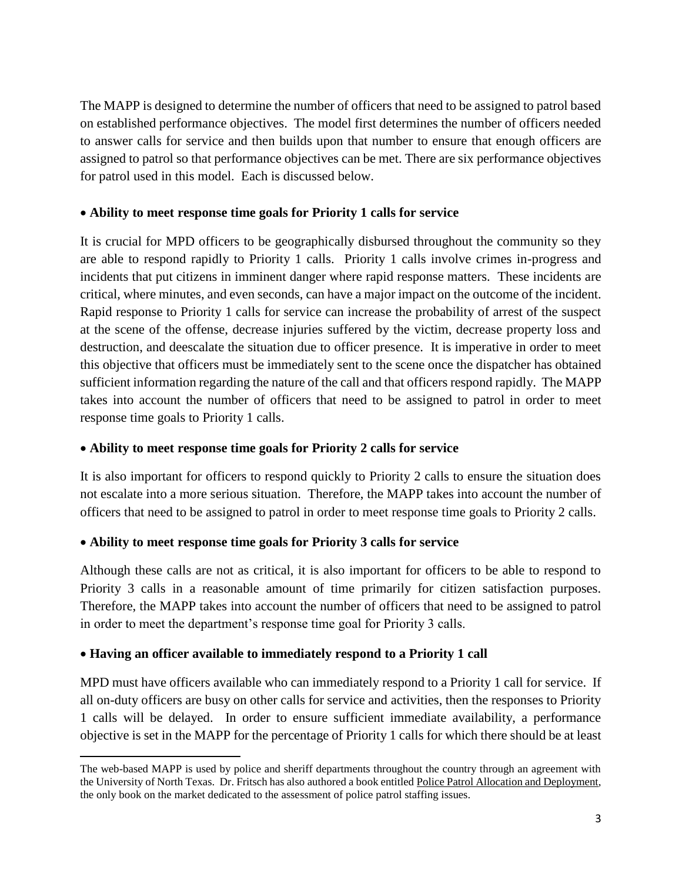The MAPP is designed to determine the number of officers that need to be assigned to patrol based on established performance objectives. The model first determines the number of officers needed to answer calls for service and then builds upon that number to ensure that enough officers are assigned to patrol so that performance objectives can be met. There are six performance objectives for patrol used in this model. Each is discussed below.

### **Ability to meet response time goals for Priority 1 calls for service**

It is crucial for MPD officers to be geographically disbursed throughout the community so they are able to respond rapidly to Priority 1 calls. Priority 1 calls involve crimes in-progress and incidents that put citizens in imminent danger where rapid response matters. These incidents are critical, where minutes, and even seconds, can have a major impact on the outcome of the incident. Rapid response to Priority 1 calls for service can increase the probability of arrest of the suspect at the scene of the offense, decrease injuries suffered by the victim, decrease property loss and destruction, and deescalate the situation due to officer presence. It is imperative in order to meet this objective that officers must be immediately sent to the scene once the dispatcher has obtained sufficient information regarding the nature of the call and that officers respond rapidly. The MAPP takes into account the number of officers that need to be assigned to patrol in order to meet response time goals to Priority 1 calls.

### **Ability to meet response time goals for Priority 2 calls for service**

It is also important for officers to respond quickly to Priority 2 calls to ensure the situation does not escalate into a more serious situation. Therefore, the MAPP takes into account the number of officers that need to be assigned to patrol in order to meet response time goals to Priority 2 calls.

### **Ability to meet response time goals for Priority 3 calls for service**

Although these calls are not as critical, it is also important for officers to be able to respond to Priority 3 calls in a reasonable amount of time primarily for citizen satisfaction purposes. Therefore, the MAPP takes into account the number of officers that need to be assigned to patrol in order to meet the department's response time goal for Priority 3 calls.

### **Having an officer available to immediately respond to a Priority 1 call**

MPD must have officers available who can immediately respond to a Priority 1 call for service. If all on-duty officers are busy on other calls for service and activities, then the responses to Priority 1 calls will be delayed. In order to ensure sufficient immediate availability, a performance objective is set in the MAPP for the percentage of Priority 1 calls for which there should be at least

 $\overline{\phantom{a}}$ The web-based MAPP is used by police and sheriff departments throughout the country through an agreement with the University of North Texas. Dr. Fritsch has also authored a book entitled Police Patrol Allocation and Deployment, the only book on the market dedicated to the assessment of police patrol staffing issues.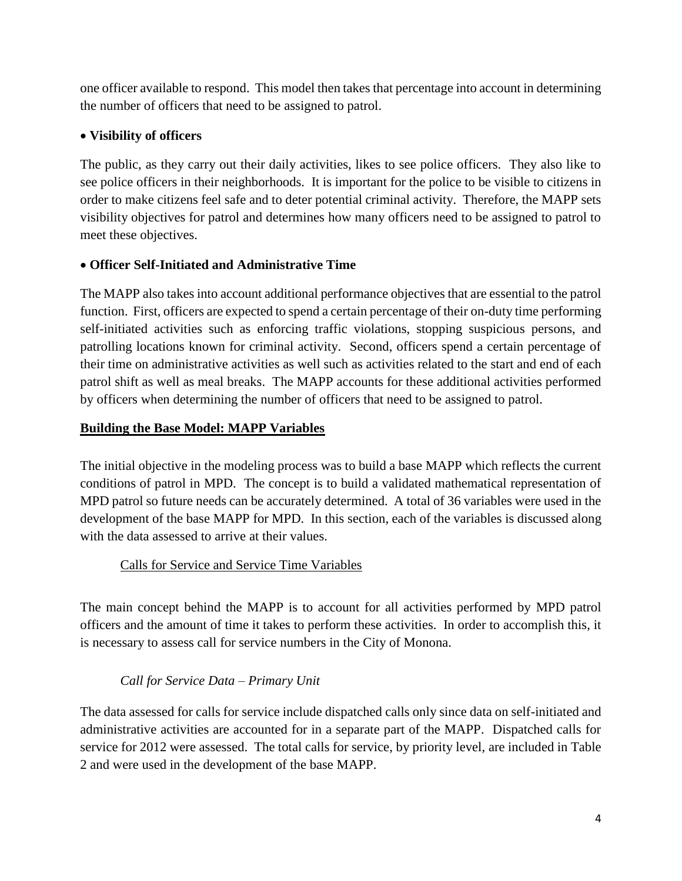one officer available to respond. This model then takes that percentage into account in determining the number of officers that need to be assigned to patrol.

### **Visibility of officers**

The public, as they carry out their daily activities, likes to see police officers. They also like to see police officers in their neighborhoods. It is important for the police to be visible to citizens in order to make citizens feel safe and to deter potential criminal activity. Therefore, the MAPP sets visibility objectives for patrol and determines how many officers need to be assigned to patrol to meet these objectives.

### **Officer Self-Initiated and Administrative Time**

The MAPP also takes into account additional performance objectives that are essential to the patrol function. First, officers are expected to spend a certain percentage of their on-duty time performing self-initiated activities such as enforcing traffic violations, stopping suspicious persons, and patrolling locations known for criminal activity. Second, officers spend a certain percentage of their time on administrative activities as well such as activities related to the start and end of each patrol shift as well as meal breaks. The MAPP accounts for these additional activities performed by officers when determining the number of officers that need to be assigned to patrol.

### **Building the Base Model: MAPP Variables**

The initial objective in the modeling process was to build a base MAPP which reflects the current conditions of patrol in MPD. The concept is to build a validated mathematical representation of MPD patrol so future needs can be accurately determined. A total of 36 variables were used in the development of the base MAPP for MPD. In this section, each of the variables is discussed along with the data assessed to arrive at their values.

### Calls for Service and Service Time Variables

The main concept behind the MAPP is to account for all activities performed by MPD patrol officers and the amount of time it takes to perform these activities. In order to accomplish this, it is necessary to assess call for service numbers in the City of Monona.

### *Call for Service Data – Primary Unit*

The data assessed for calls for service include dispatched calls only since data on self-initiated and administrative activities are accounted for in a separate part of the MAPP. Dispatched calls for service for 2012 were assessed. The total calls for service, by priority level, are included in Table 2 and were used in the development of the base MAPP.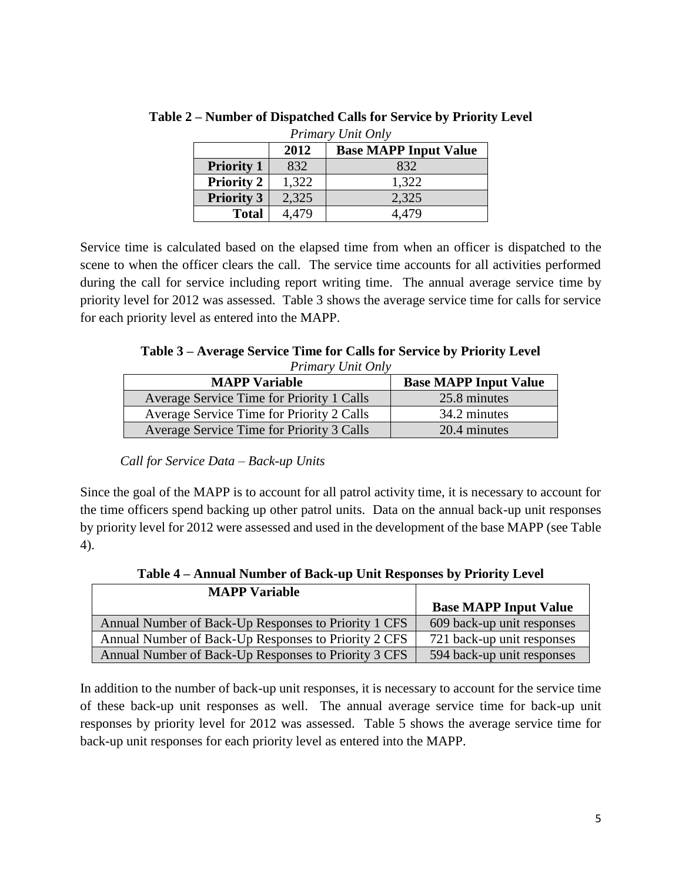| Primary Unit Only |       |                              |
|-------------------|-------|------------------------------|
|                   | 2012  | <b>Base MAPP Input Value</b> |
| <b>Priority 1</b> | 832   | 832                          |
| <b>Priority 2</b> | 1,322 | 1,322                        |
| <b>Priority 3</b> | 2,325 | 2,325                        |
| <b>Total</b>      | 4.479 | 4.479                        |

**Table 2 – Number of Dispatched Calls for Service by Priority Level**

Service time is calculated based on the elapsed time from when an officer is dispatched to the scene to when the officer clears the call. The service time accounts for all activities performed during the call for service including report writing time. The annual average service time by priority level for 2012 was assessed. Table 3 shows the average service time for calls for service for each priority level as entered into the MAPP.

**Table 3 – Average Service Time for Calls for Service by Priority Level** *Primary Unit Only*

| Thurt y Only Only                         |                              |  |
|-------------------------------------------|------------------------------|--|
| <b>MAPP Variable</b>                      | <b>Base MAPP Input Value</b> |  |
| Average Service Time for Priority 1 Calls | 25.8 minutes                 |  |
| Average Service Time for Priority 2 Calls | 34.2 minutes                 |  |
| Average Service Time for Priority 3 Calls | 20.4 minutes                 |  |

*Call for Service Data – Back-up Units*

Since the goal of the MAPP is to account for all patrol activity time, it is necessary to account for the time officers spend backing up other patrol units. Data on the annual back-up unit responses by priority level for 2012 were assessed and used in the development of the base MAPP (see Table 4).

| <b>MAPP</b> Variable                                 |                              |
|------------------------------------------------------|------------------------------|
|                                                      | <b>Base MAPP Input Value</b> |
| Annual Number of Back-Up Responses to Priority 1 CFS | 609 back-up unit responses   |
| Annual Number of Back-Up Responses to Priority 2 CFS | 721 back-up unit responses   |
| Annual Number of Back-Up Responses to Priority 3 CFS | 594 back-up unit responses   |

**Table 4 – Annual Number of Back-up Unit Responses by Priority Level**

In addition to the number of back-up unit responses, it is necessary to account for the service time of these back-up unit responses as well. The annual average service time for back-up unit responses by priority level for 2012 was assessed. Table 5 shows the average service time for back-up unit responses for each priority level as entered into the MAPP.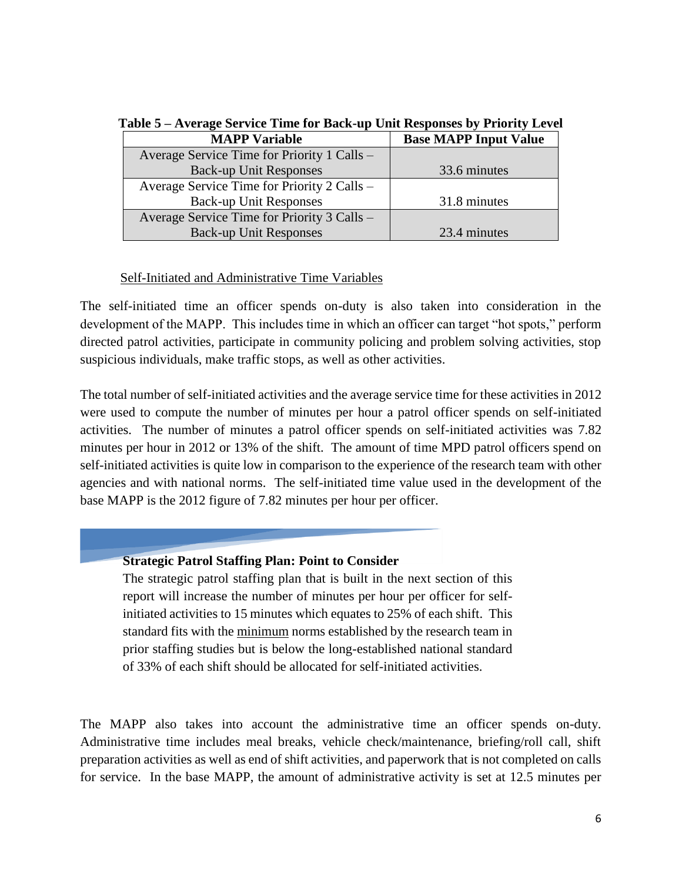| Twore $\mathbf{r}$ in the set the finite for buch up can hesponses $\mathbf{s}_f$ finding better |                              |  |
|--------------------------------------------------------------------------------------------------|------------------------------|--|
| <b>MAPP Variable</b>                                                                             | <b>Base MAPP Input Value</b> |  |
| Average Service Time for Priority 1 Calls –                                                      |                              |  |
| <b>Back-up Unit Responses</b>                                                                    | 33.6 minutes                 |  |
| Average Service Time for Priority 2 Calls –                                                      |                              |  |
| <b>Back-up Unit Responses</b>                                                                    | 31.8 minutes                 |  |
| Average Service Time for Priority 3 Calls –                                                      |                              |  |
| <b>Back-up Unit Responses</b>                                                                    | 23.4 minutes                 |  |

**Table 5 – Average Service Time for Back-up Unit Responses by Priority Level**

### Self-Initiated and Administrative Time Variables

The self-initiated time an officer spends on-duty is also taken into consideration in the development of the MAPP. This includes time in which an officer can target "hot spots," perform directed patrol activities, participate in community policing and problem solving activities, stop suspicious individuals, make traffic stops, as well as other activities.

The total number of self-initiated activities and the average service time for these activities in 2012 were used to compute the number of minutes per hour a patrol officer spends on self-initiated activities. The number of minutes a patrol officer spends on self-initiated activities was 7.82 minutes per hour in 2012 or 13% of the shift. The amount of time MPD patrol officers spend on self-initiated activities is quite low in comparison to the experience of the research team with other agencies and with national norms. The self-initiated time value used in the development of the base MAPP is the 2012 figure of 7.82 minutes per hour per officer.

### **Strategic Patrol Staffing Plan: Point to Consider**

The strategic patrol staffing plan that is built in the next section of this report will increase the number of minutes per hour per officer for selfinitiated activities to 15 minutes which equates to 25% of each shift. This standard fits with the minimum norms established by the research team in prior staffing studies but is below the long-established national standard of 33% of each shift should be allocated for self-initiated activities.

The MAPP also takes into account the administrative time an officer spends on-duty. Administrative time includes meal breaks, vehicle check/maintenance, briefing/roll call, shift preparation activities as well as end of shift activities, and paperwork that is not completed on calls for service. In the base MAPP, the amount of administrative activity is set at 12.5 minutes per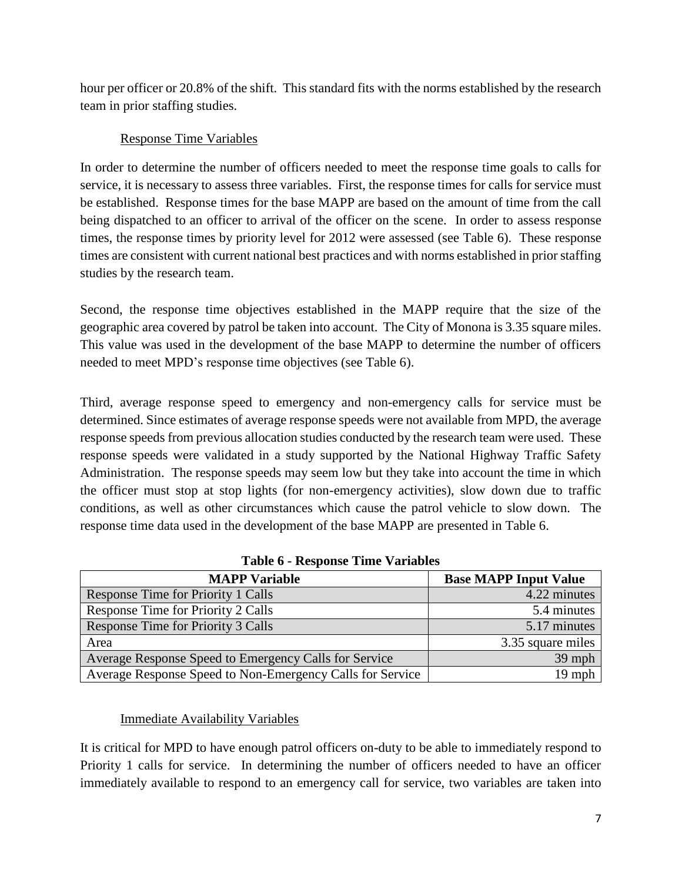hour per officer or 20.8% of the shift. This standard fits with the norms established by the research team in prior staffing studies.

### Response Time Variables

In order to determine the number of officers needed to meet the response time goals to calls for service, it is necessary to assess three variables. First, the response times for calls for service must be established. Response times for the base MAPP are based on the amount of time from the call being dispatched to an officer to arrival of the officer on the scene. In order to assess response times, the response times by priority level for 2012 were assessed (see Table 6). These response times are consistent with current national best practices and with norms established in prior staffing studies by the research team.

Second, the response time objectives established in the MAPP require that the size of the geographic area covered by patrol be taken into account. The City of Monona is 3.35 square miles. This value was used in the development of the base MAPP to determine the number of officers needed to meet MPD's response time objectives (see Table 6).

Third, average response speed to emergency and non-emergency calls for service must be determined. Since estimates of average response speeds were not available from MPD, the average response speeds from previous allocation studies conducted by the research team were used. These response speeds were validated in a study supported by the National Highway Traffic Safety Administration. The response speeds may seem low but they take into account the time in which the officer must stop at stop lights (for non-emergency activities), slow down due to traffic conditions, as well as other circumstances which cause the patrol vehicle to slow down. The response time data used in the development of the base MAPP are presented in Table 6.

| <b>MAPP Variable</b>                                      | <b>Base MAPP Input Value</b> |
|-----------------------------------------------------------|------------------------------|
| Response Time for Priority 1 Calls                        | 4.22 minutes                 |
| Response Time for Priority 2 Calls                        | 5.4 minutes                  |
| Response Time for Priority 3 Calls                        | 5.17 minutes                 |
| Area                                                      | 3.35 square miles            |
| Average Response Speed to Emergency Calls for Service     | 39 mph                       |
| Average Response Speed to Non-Emergency Calls for Service | $19$ mph                     |

**Table 6 - Response Time Variables**

### Immediate Availability Variables

It is critical for MPD to have enough patrol officers on-duty to be able to immediately respond to Priority 1 calls for service. In determining the number of officers needed to have an officer immediately available to respond to an emergency call for service, two variables are taken into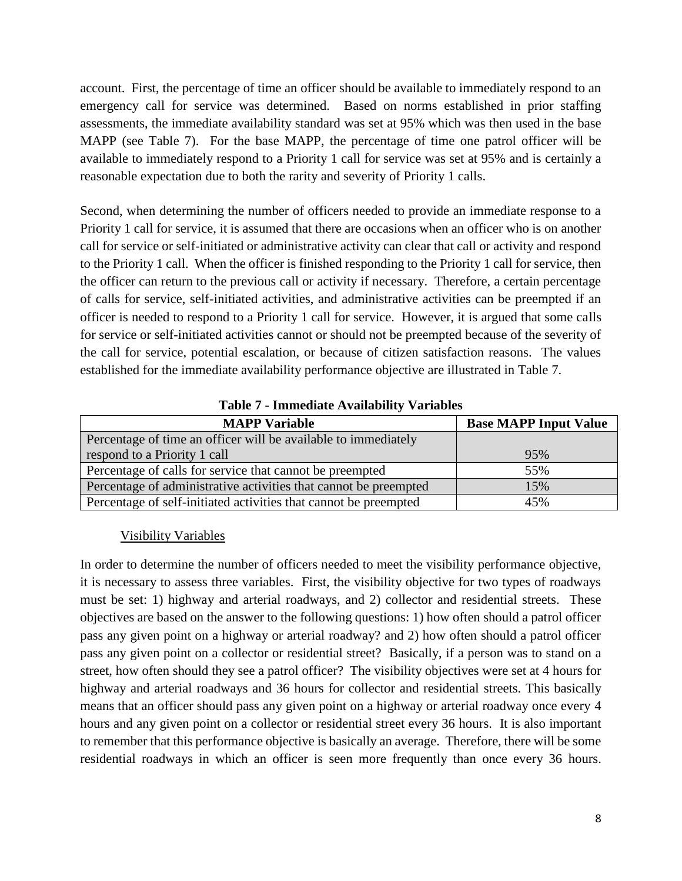account. First, the percentage of time an officer should be available to immediately respond to an emergency call for service was determined. Based on norms established in prior staffing assessments, the immediate availability standard was set at 95% which was then used in the base MAPP (see Table 7). For the base MAPP, the percentage of time one patrol officer will be available to immediately respond to a Priority 1 call for service was set at 95% and is certainly a reasonable expectation due to both the rarity and severity of Priority 1 calls.

Second, when determining the number of officers needed to provide an immediate response to a Priority 1 call for service, it is assumed that there are occasions when an officer who is on another call for service or self-initiated or administrative activity can clear that call or activity and respond to the Priority 1 call. When the officer is finished responding to the Priority 1 call for service, then the officer can return to the previous call or activity if necessary. Therefore, a certain percentage of calls for service, self-initiated activities, and administrative activities can be preempted if an officer is needed to respond to a Priority 1 call for service. However, it is argued that some calls for service or self-initiated activities cannot or should not be preempted because of the severity of the call for service, potential escalation, or because of citizen satisfaction reasons. The values established for the immediate availability performance objective are illustrated in Table 7.

| <b>MAPP Variable</b>                                             | <b>Base MAPP Input Value</b> |
|------------------------------------------------------------------|------------------------------|
| Percentage of time an officer will be available to immediately   |                              |
| respond to a Priority 1 call                                     | 95%                          |
| Percentage of calls for service that cannot be preempted         | 55%                          |
| Percentage of administrative activities that cannot be preempted | 15%                          |
| Percentage of self-initiated activities that cannot be preempted | 45%                          |

**Table 7 - Immediate Availability Variables**

### Visibility Variables

In order to determine the number of officers needed to meet the visibility performance objective, it is necessary to assess three variables. First, the visibility objective for two types of roadways must be set: 1) highway and arterial roadways, and 2) collector and residential streets. These objectives are based on the answer to the following questions: 1) how often should a patrol officer pass any given point on a highway or arterial roadway? and 2) how often should a patrol officer pass any given point on a collector or residential street? Basically, if a person was to stand on a street, how often should they see a patrol officer? The visibility objectives were set at 4 hours for highway and arterial roadways and 36 hours for collector and residential streets. This basically means that an officer should pass any given point on a highway or arterial roadway once every 4 hours and any given point on a collector or residential street every 36 hours. It is also important to remember that this performance objective is basically an average. Therefore, there will be some residential roadways in which an officer is seen more frequently than once every 36 hours.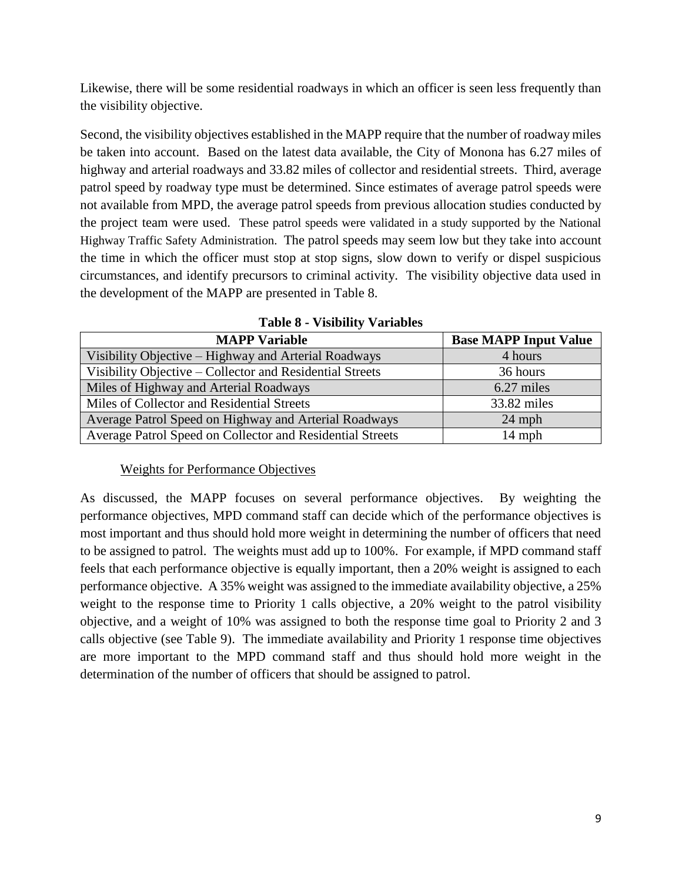Likewise, there will be some residential roadways in which an officer is seen less frequently than the visibility objective.

Second, the visibility objectives established in the MAPP require that the number of roadway miles be taken into account. Based on the latest data available, the City of Monona has 6.27 miles of highway and arterial roadways and 33.82 miles of collector and residential streets. Third, average patrol speed by roadway type must be determined. Since estimates of average patrol speeds were not available from MPD, the average patrol speeds from previous allocation studies conducted by the project team were used. These patrol speeds were validated in a study supported by the National Highway Traffic Safety Administration. The patrol speeds may seem low but they take into account the time in which the officer must stop at stop signs, slow down to verify or dispel suspicious circumstances, and identify precursors to criminal activity. The visibility objective data used in the development of the MAPP are presented in Table 8.

| <b>MAPP Variable</b>                                      | <b>Base MAPP Input Value</b> |
|-----------------------------------------------------------|------------------------------|
| Visibility Objective – Highway and Arterial Roadways      | 4 hours                      |
| Visibility Objective - Collector and Residential Streets  | 36 hours                     |
| Miles of Highway and Arterial Roadways                    | 6.27 miles                   |
| Miles of Collector and Residential Streets                | 33.82 miles                  |
| Average Patrol Speed on Highway and Arterial Roadways     | $24$ mph                     |
| Average Patrol Speed on Collector and Residential Streets | $14$ mph                     |

**Table 8 - Visibility Variables**

### Weights for Performance Objectives

As discussed, the MAPP focuses on several performance objectives. By weighting the performance objectives, MPD command staff can decide which of the performance objectives is most important and thus should hold more weight in determining the number of officers that need to be assigned to patrol. The weights must add up to 100%. For example, if MPD command staff feels that each performance objective is equally important, then a 20% weight is assigned to each performance objective. A 35% weight was assigned to the immediate availability objective, a 25% weight to the response time to Priority 1 calls objective, a 20% weight to the patrol visibility objective, and a weight of 10% was assigned to both the response time goal to Priority 2 and 3 calls objective (see Table 9). The immediate availability and Priority 1 response time objectives are more important to the MPD command staff and thus should hold more weight in the determination of the number of officers that should be assigned to patrol.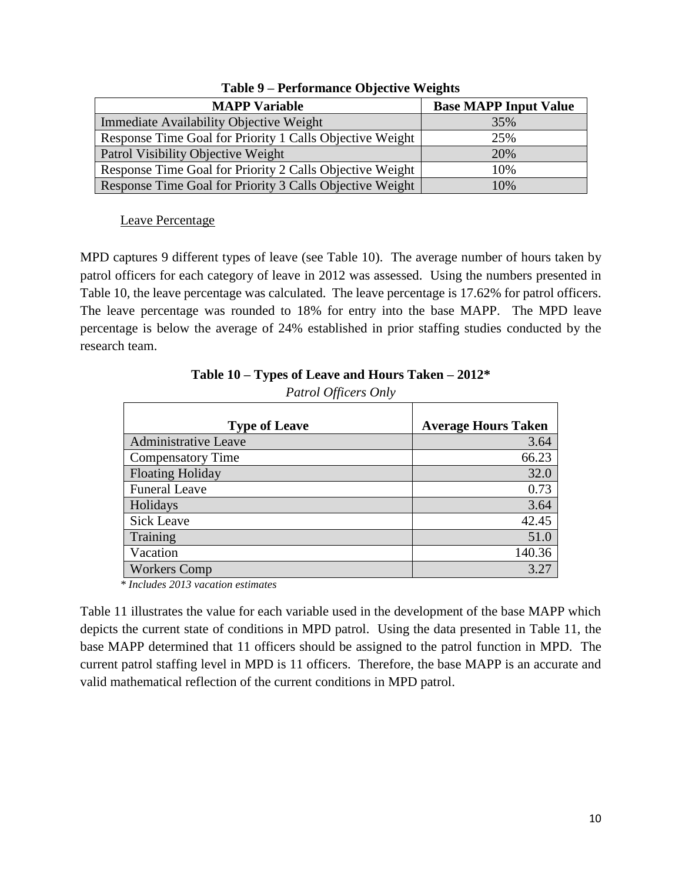| <b>MAPP Variable</b>                                     | <b>Base MAPP Input Value</b> |
|----------------------------------------------------------|------------------------------|
| Immediate Availability Objective Weight                  | 35%                          |
| Response Time Goal for Priority 1 Calls Objective Weight | 25%                          |
| Patrol Visibility Objective Weight                       | 20%                          |
| Response Time Goal for Priority 2 Calls Objective Weight | 10%                          |
| Response Time Goal for Priority 3 Calls Objective Weight | 10%                          |

**Table 9 – Performance Objective Weights**

### Leave Percentage

MPD captures 9 different types of leave (see Table 10). The average number of hours taken by patrol officers for each category of leave in 2012 was assessed. Using the numbers presented in Table 10, the leave percentage was calculated. The leave percentage is 17.62% for patrol officers. The leave percentage was rounded to 18% for entry into the base MAPP. The MPD leave percentage is below the average of 24% established in prior staffing studies conducted by the research team.

### **Table 10 – Types of Leave and Hours Taken – 2012\***

*Patrol Officers Only*

| <b>Type of Leave</b>        | <b>Average Hours Taken</b> |
|-----------------------------|----------------------------|
| <b>Administrative Leave</b> | 3.64                       |
| <b>Compensatory Time</b>    | 66.23                      |
| <b>Floating Holiday</b>     | 32.0                       |
| <b>Funeral Leave</b>        | 0.73                       |
| Holidays                    | 3.64                       |
| <b>Sick Leave</b>           | 42.45                      |
| Training                    | 51.0                       |
| Vacation                    | 140.36                     |
| <b>Workers Comp</b>         | 3.27                       |

*\* Includes 2013 vacation estimates*

Table 11 illustrates the value for each variable used in the development of the base MAPP which depicts the current state of conditions in MPD patrol. Using the data presented in Table 11, the base MAPP determined that 11 officers should be assigned to the patrol function in MPD. The current patrol staffing level in MPD is 11 officers. Therefore, the base MAPP is an accurate and valid mathematical reflection of the current conditions in MPD patrol.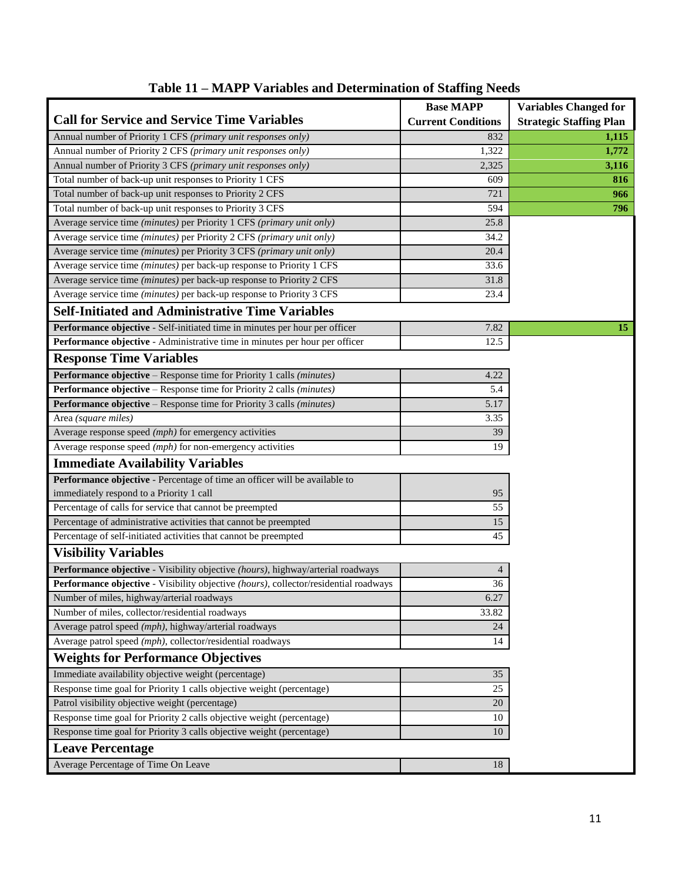|                                                                                      | <b>Base MAPP</b>          | <b>Variables Changed for</b>   |
|--------------------------------------------------------------------------------------|---------------------------|--------------------------------|
| <b>Call for Service and Service Time Variables</b>                                   | <b>Current Conditions</b> | <b>Strategic Staffing Plan</b> |
| Annual number of Priority 1 CFS (primary unit responses only)                        | 832                       | 1,115                          |
| Annual number of Priority 2 CFS (primary unit responses only)                        | 1,322                     | 1,772                          |
| Annual number of Priority 3 CFS (primary unit responses only)                        | 2,325                     | 3,116                          |
| Total number of back-up unit responses to Priority 1 CFS                             | 609                       | 816                            |
| Total number of back-up unit responses to Priority 2 CFS                             | 721                       | 966                            |
| Total number of back-up unit responses to Priority 3 CFS                             | 594                       | 796                            |
| Average service time (minutes) per Priority 1 CFS (primary unit only)                | 25.8                      |                                |
| Average service time (minutes) per Priority 2 CFS (primary unit only)                | 34.2                      |                                |
| Average service time (minutes) per Priority 3 CFS (primary unit only)                | 20.4                      |                                |
| Average service time (minutes) per back-up response to Priority 1 CFS                | 33.6                      |                                |
| Average service time (minutes) per back-up response to Priority 2 CFS                | 31.8                      |                                |
| Average service time (minutes) per back-up response to Priority 3 CFS                | 23.4                      |                                |
| <b>Self-Initiated and Administrative Time Variables</b>                              |                           |                                |
| Performance objective - Self-initiated time in minutes per hour per officer          | 7.82                      | 15                             |
| Performance objective - Administrative time in minutes per hour per officer          | 12.5                      |                                |
| <b>Response Time Variables</b>                                                       |                           |                                |
| Performance objective - Response time for Priority 1 calls (minutes)                 | 4.22                      |                                |
| Performance objective - Response time for Priority 2 calls (minutes)                 | 5.4                       |                                |
| <b>Performance objective - Response time for Priority 3 calls (minutes)</b>          | 5.17                      |                                |
| Area (square miles)                                                                  | 3.35                      |                                |
| Average response speed (mph) for emergency activities                                | 39                        |                                |
| Average response speed (mph) for non-emergency activities                            | 19                        |                                |
| <b>Immediate Availability Variables</b>                                              |                           |                                |
| Performance objective - Percentage of time an officer will be available to           |                           |                                |
| immediately respond to a Priority 1 call                                             | 95                        |                                |
| Percentage of calls for service that cannot be preempted                             | 55                        |                                |
| Percentage of administrative activities that cannot be preempted                     | 15                        |                                |
| Percentage of self-initiated activities that cannot be preempted                     | 45                        |                                |
| <b>Visibility Variables</b>                                                          |                           |                                |
| Performance objective - Visibility objective (hours), highway/arterial roadways      | 4                         |                                |
| Performance objective - Visibility objective (hours), collector/residential roadways | $\overline{36}$           |                                |
| Number of miles, highway/arterial roadways                                           | 6.27                      |                                |
| Number of miles, collector/residential roadways                                      | 33.82                     |                                |
| Average patrol speed (mph), highway/arterial roadways                                | 24                        |                                |
| Average patrol speed (mph), collector/residential roadways                           | 14                        |                                |
| <b>Weights for Performance Objectives</b>                                            |                           |                                |
| Immediate availability objective weight (percentage)                                 | 35                        |                                |
| Response time goal for Priority 1 calls objective weight (percentage)                | 25                        |                                |
| Patrol visibility objective weight (percentage)                                      | 20                        |                                |
| Response time goal for Priority 2 calls objective weight (percentage)                | 10                        |                                |
| Response time goal for Priority 3 calls objective weight (percentage)                | 10                        |                                |
| <b>Leave Percentage</b>                                                              |                           |                                |
| Average Percentage of Time On Leave                                                  | $18\,$                    |                                |

### **Table 11 – MAPP Variables and Determination of Staffing Needs**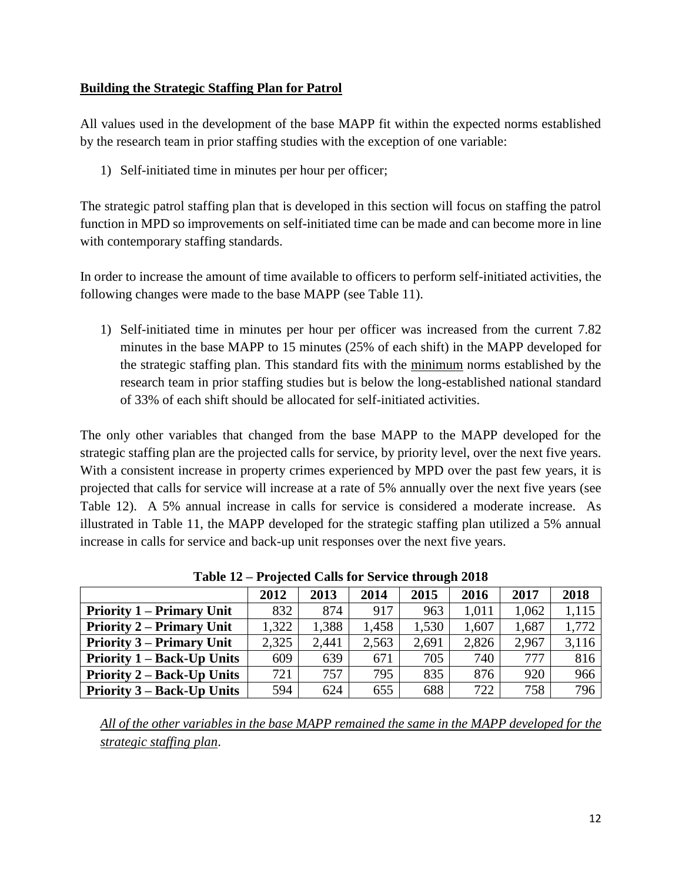### **Building the Strategic Staffing Plan for Patrol**

All values used in the development of the base MAPP fit within the expected norms established by the research team in prior staffing studies with the exception of one variable:

1) Self-initiated time in minutes per hour per officer;

The strategic patrol staffing plan that is developed in this section will focus on staffing the patrol function in MPD so improvements on self-initiated time can be made and can become more in line with contemporary staffing standards.

In order to increase the amount of time available to officers to perform self-initiated activities, the following changes were made to the base MAPP (see Table 11).

1) Self-initiated time in minutes per hour per officer was increased from the current 7.82 minutes in the base MAPP to 15 minutes (25% of each shift) in the MAPP developed for the strategic staffing plan. This standard fits with the minimum norms established by the research team in prior staffing studies but is below the long-established national standard of 33% of each shift should be allocated for self-initiated activities.

The only other variables that changed from the base MAPP to the MAPP developed for the strategic staffing plan are the projected calls for service, by priority level, over the next five years. With a consistent increase in property crimes experienced by MPD over the past few years, it is projected that calls for service will increase at a rate of 5% annually over the next five years (see Table 12). A 5% annual increase in calls for service is considered a moderate increase. As illustrated in Table 11, the MAPP developed for the strategic staffing plan utilized a 5% annual increase in calls for service and back-up unit responses over the next five years.

| $1400$ , $12 - 110$ function calls for Set vice through 2010 |       |       |       |       |       |       |       |
|--------------------------------------------------------------|-------|-------|-------|-------|-------|-------|-------|
|                                                              | 2012  | 2013  | 2014  | 2015  | 2016  | 2017  | 2018  |
| <b>Priority 1 – Primary Unit</b>                             | 832   | 874   | 917   | 963   | 1,011 | 1,062 | 1,115 |
| <b>Priority 2 – Primary Unit</b>                             | 1,322 | 1,388 | 1,458 | 1,530 | 1,607 | 1,687 | 1,772 |
| <b>Priority 3 – Primary Unit</b>                             | 2,325 | 2,441 | 2.563 | 2,691 | 2,826 | 2,967 | 3,116 |
| <b>Priority 1 – Back-Up Units</b>                            | 609   | 639   | 671   | 705   | 740   | 777   | 816   |
| <b>Priority 2 – Back-Up Units</b>                            | 721   | 757   | 795   | 835   | 876   | 920   | 966   |
| <b>Priority 3 – Back-Up Units</b>                            | 594   | 624   | 655   | 688   | 722   | 758   | 796   |

**Table 12 – Projected Calls for Service through 2018**

*All of the other variables in the base MAPP remained the same in the MAPP developed for the strategic staffing plan*.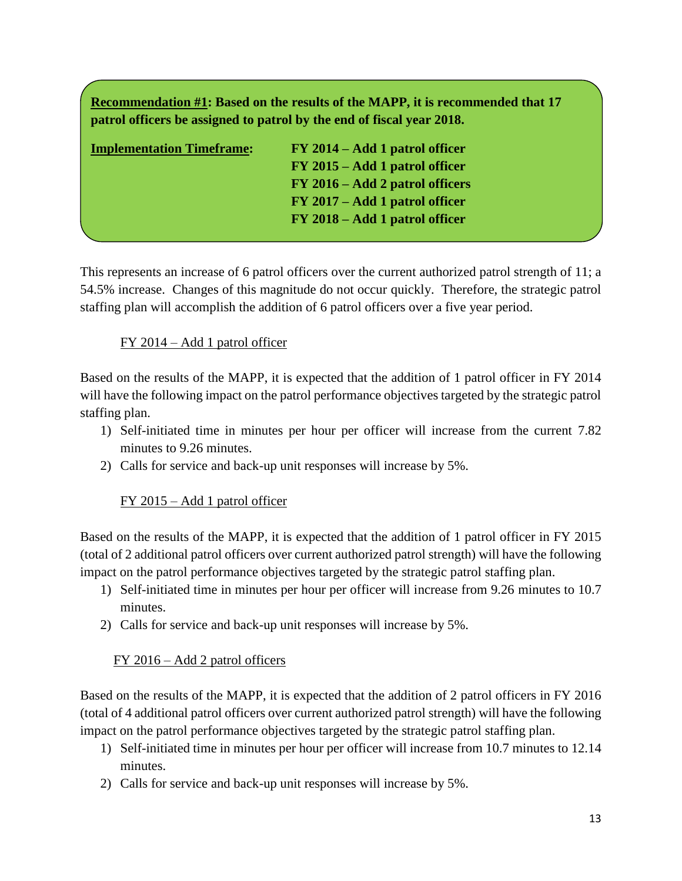**Recommendation #1: Based on the results of the MAPP, it is recommended that 17 patrol officers be assigned to patrol by the end of fiscal year 2018.** 

| <b>Implementation Timeframe:</b> | FY 2014 – Add 1 patrol officer  |
|----------------------------------|---------------------------------|
|                                  | FY 2015 – Add 1 patrol officer  |
|                                  | FY 2016 – Add 2 patrol officers |
|                                  | FY 2017 – Add 1 patrol officer  |
|                                  | FY 2018 – Add 1 patrol officer  |
|                                  |                                 |

This represents an increase of 6 patrol officers over the current authorized patrol strength of 11; a 54.5% increase. Changes of this magnitude do not occur quickly. Therefore, the strategic patrol staffing plan will accomplish the addition of 6 patrol officers over a five year period.

### FY 2014 – Add 1 patrol officer

Based on the results of the MAPP, it is expected that the addition of 1 patrol officer in FY 2014 will have the following impact on the patrol performance objectives targeted by the strategic patrol staffing plan.

- 1) Self-initiated time in minutes per hour per officer will increase from the current 7.82 minutes to 9.26 minutes.
- 2) Calls for service and back-up unit responses will increase by 5%.

### FY 2015 – Add 1 patrol officer

Based on the results of the MAPP, it is expected that the addition of 1 patrol officer in FY 2015 (total of 2 additional patrol officers over current authorized patrol strength) will have the following impact on the patrol performance objectives targeted by the strategic patrol staffing plan.

- 1) Self-initiated time in minutes per hour per officer will increase from 9.26 minutes to 10.7 minutes.
- 2) Calls for service and back-up unit responses will increase by 5%.

### FY 2016 – Add 2 patrol officers

Based on the results of the MAPP, it is expected that the addition of 2 patrol officers in FY 2016 (total of 4 additional patrol officers over current authorized patrol strength) will have the following impact on the patrol performance objectives targeted by the strategic patrol staffing plan.

- 1) Self-initiated time in minutes per hour per officer will increase from 10.7 minutes to 12.14 minutes.
- 2) Calls for service and back-up unit responses will increase by 5%.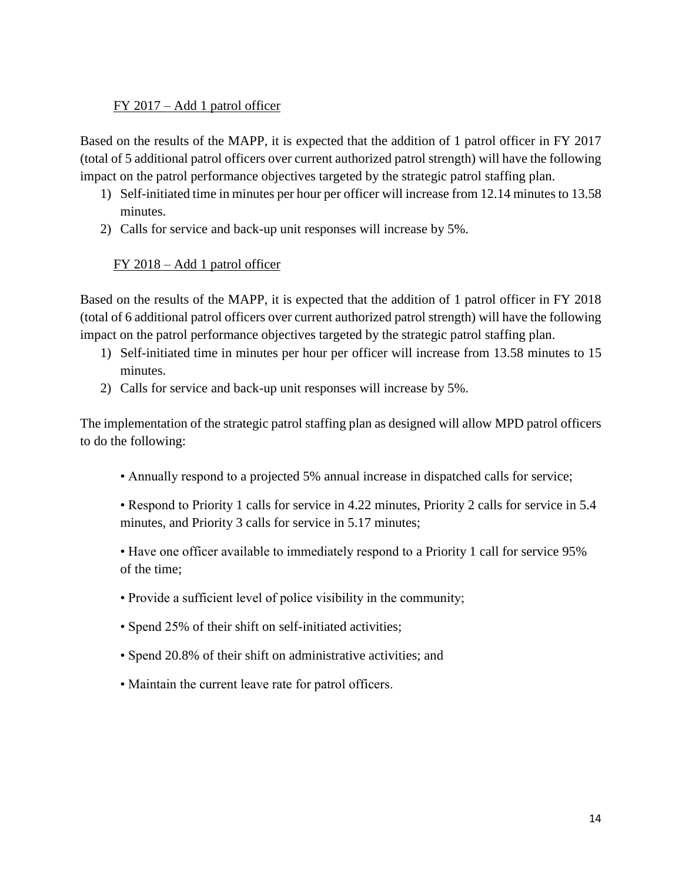### FY 2017 – Add 1 patrol officer

Based on the results of the MAPP, it is expected that the addition of 1 patrol officer in FY 2017 (total of 5 additional patrol officers over current authorized patrol strength) will have the following impact on the patrol performance objectives targeted by the strategic patrol staffing plan.

- 1) Self-initiated time in minutes per hour per officer will increase from 12.14 minutes to 13.58 minutes.
- 2) Calls for service and back-up unit responses will increase by 5%.

### FY 2018 – Add 1 patrol officer

Based on the results of the MAPP, it is expected that the addition of 1 patrol officer in FY 2018 (total of 6 additional patrol officers over current authorized patrol strength) will have the following impact on the patrol performance objectives targeted by the strategic patrol staffing plan.

- 1) Self-initiated time in minutes per hour per officer will increase from 13.58 minutes to 15 minutes.
- 2) Calls for service and back-up unit responses will increase by 5%.

The implementation of the strategic patrol staffing plan as designed will allow MPD patrol officers to do the following:

• Annually respond to a projected 5% annual increase in dispatched calls for service;

• Respond to Priority 1 calls for service in 4.22 minutes, Priority 2 calls for service in 5.4 minutes, and Priority 3 calls for service in 5.17 minutes;

• Have one officer available to immediately respond to a Priority 1 call for service 95% of the time;

- Provide a sufficient level of police visibility in the community;
- Spend 25% of their shift on self-initiated activities;
- Spend 20.8% of their shift on administrative activities; and
- Maintain the current leave rate for patrol officers.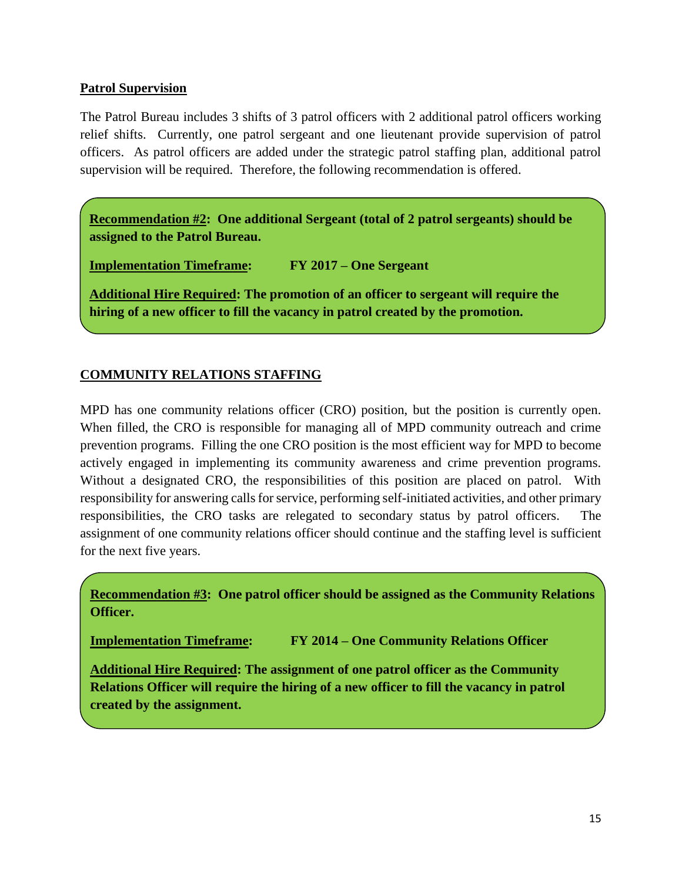### **Patrol Supervision**

The Patrol Bureau includes 3 shifts of 3 patrol officers with 2 additional patrol officers working relief shifts. Currently, one patrol sergeant and one lieutenant provide supervision of patrol officers. As patrol officers are added under the strategic patrol staffing plan, additional patrol supervision will be required. Therefore, the following recommendation is offered.

**Recommendation #2: One additional Sergeant (total of 2 patrol sergeants) should be assigned to the Patrol Bureau.**

**Implementation Timeframe: FY 2017 – One Sergeant**

**Additional Hire Required: The promotion of an officer to sergeant will require the hiring of a new officer to fill the vacancy in patrol created by the promotion.**

### **COMMUNITY RELATIONS STAFFING**

MPD has one community relations officer (CRO) position, but the position is currently open. When filled, the CRO is responsible for managing all of MPD community outreach and crime prevention programs. Filling the one CRO position is the most efficient way for MPD to become actively engaged in implementing its community awareness and crime prevention programs. Without a designated CRO, the responsibilities of this position are placed on patrol. With responsibility for answering calls for service, performing self-initiated activities, and other primary responsibilities, the CRO tasks are relegated to secondary status by patrol officers. The assignment of one community relations officer should continue and the staffing level is sufficient for the next five years.

**Recommendation #3: One patrol officer should be assigned as the Community Relations Officer.**

**Implementation Timeframe: FY 2014 – One Community Relations Officer**

**Additional Hire Required: The assignment of one patrol officer as the Community Relations Officer will require the hiring of a new officer to fill the vacancy in patrol created by the assignment.**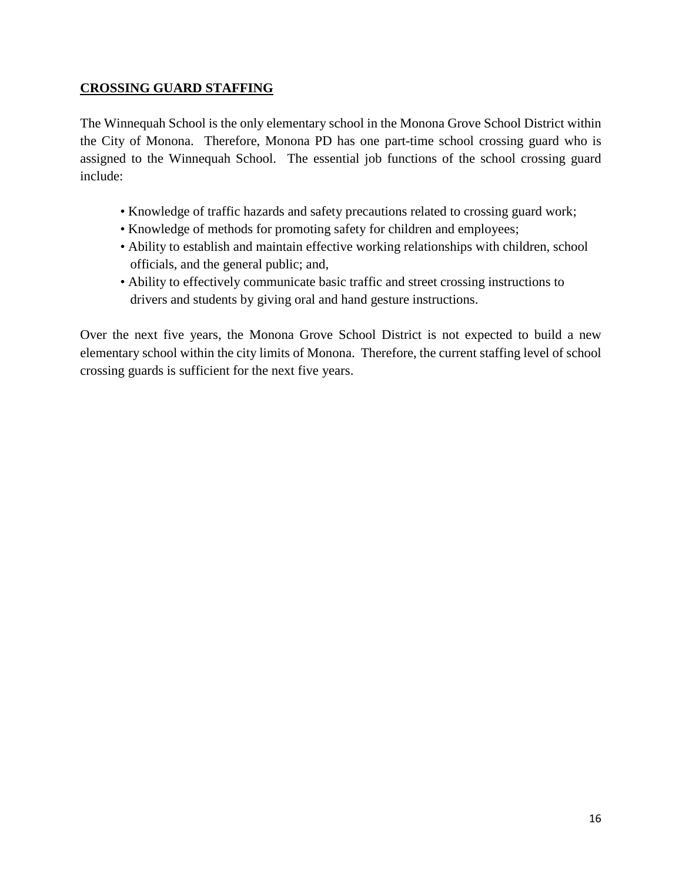### **CROSSING GUARD STAFFING**

The Winnequah School is the only elementary school in the Monona Grove School District within the City of Monona. Therefore, Monona PD has one part-time school crossing guard who is assigned to the Winnequah School. The essential job functions of the school crossing guard include:

- Knowledge of traffic hazards and safety precautions related to crossing guard work;
- Knowledge of methods for promoting safety for children and employees;
- Ability to establish and maintain effective working relationships with children, school officials, and the general public; and,
- Ability to effectively communicate basic traffic and street crossing instructions to drivers and students by giving oral and hand gesture instructions.

Over the next five years, the Monona Grove School District is not expected to build a new elementary school within the city limits of Monona. Therefore, the current staffing level of school crossing guards is sufficient for the next five years.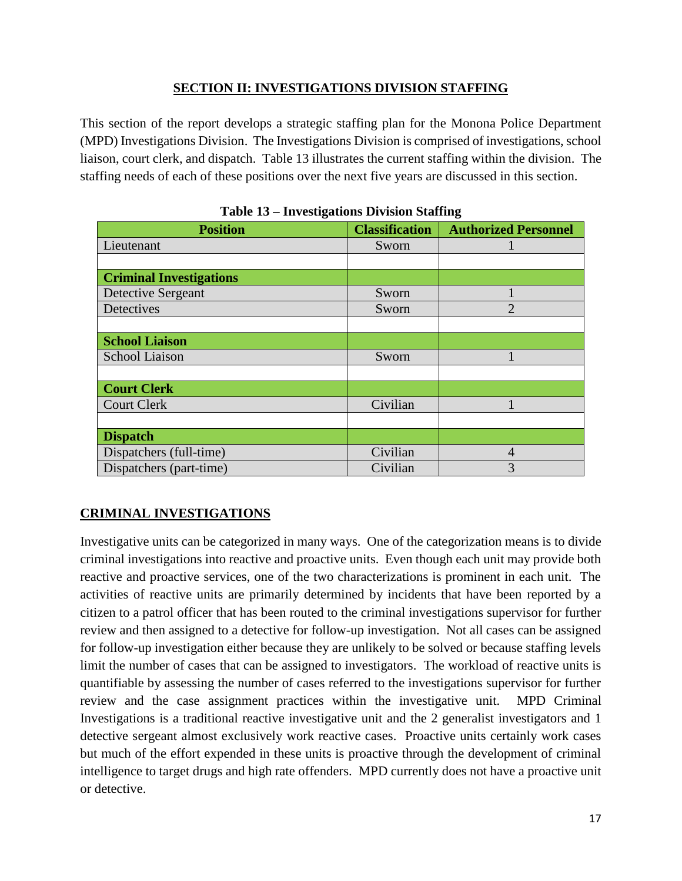### **SECTION II: INVESTIGATIONS DIVISION STAFFING**

This section of the report develops a strategic staffing plan for the Monona Police Department (MPD) Investigations Division. The Investigations Division is comprised of investigations, school liaison, court clerk, and dispatch. Table 13 illustrates the current staffing within the division. The staffing needs of each of these positions over the next five years are discussed in this section.

| o                              |                       |                             |  |  |
|--------------------------------|-----------------------|-----------------------------|--|--|
| <b>Position</b>                | <b>Classification</b> | <b>Authorized Personnel</b> |  |  |
| Lieutenant                     | Sworn                 |                             |  |  |
|                                |                       |                             |  |  |
| <b>Criminal Investigations</b> |                       |                             |  |  |
| Detective Sergeant             | Sworn                 |                             |  |  |
| Detectives                     | Sworn                 | $\mathfrak{D}$              |  |  |
|                                |                       |                             |  |  |
| <b>School Liaison</b>          |                       |                             |  |  |
| <b>School Liaison</b>          | Sworn                 |                             |  |  |
|                                |                       |                             |  |  |
| <b>Court Clerk</b>             |                       |                             |  |  |
| <b>Court Clerk</b>             | Civilian              |                             |  |  |
|                                |                       |                             |  |  |
| <b>Dispatch</b>                |                       |                             |  |  |
| Dispatchers (full-time)        | Civilian              | 4                           |  |  |
| Dispatchers (part-time)        | Civilian              | 3                           |  |  |

|  |  | Table 13 – Investigations Division Staffing |  |  |
|--|--|---------------------------------------------|--|--|
|--|--|---------------------------------------------|--|--|

### **CRIMINAL INVESTIGATIONS**

Investigative units can be categorized in many ways. One of the categorization means is to divide criminal investigations into reactive and proactive units. Even though each unit may provide both reactive and proactive services, one of the two characterizations is prominent in each unit. The activities of reactive units are primarily determined by incidents that have been reported by a citizen to a patrol officer that has been routed to the criminal investigations supervisor for further review and then assigned to a detective for follow-up investigation. Not all cases can be assigned for follow-up investigation either because they are unlikely to be solved or because staffing levels limit the number of cases that can be assigned to investigators. The workload of reactive units is quantifiable by assessing the number of cases referred to the investigations supervisor for further review and the case assignment practices within the investigative unit. MPD Criminal Investigations is a traditional reactive investigative unit and the 2 generalist investigators and 1 detective sergeant almost exclusively work reactive cases. Proactive units certainly work cases but much of the effort expended in these units is proactive through the development of criminal intelligence to target drugs and high rate offenders. MPD currently does not have a proactive unit or detective.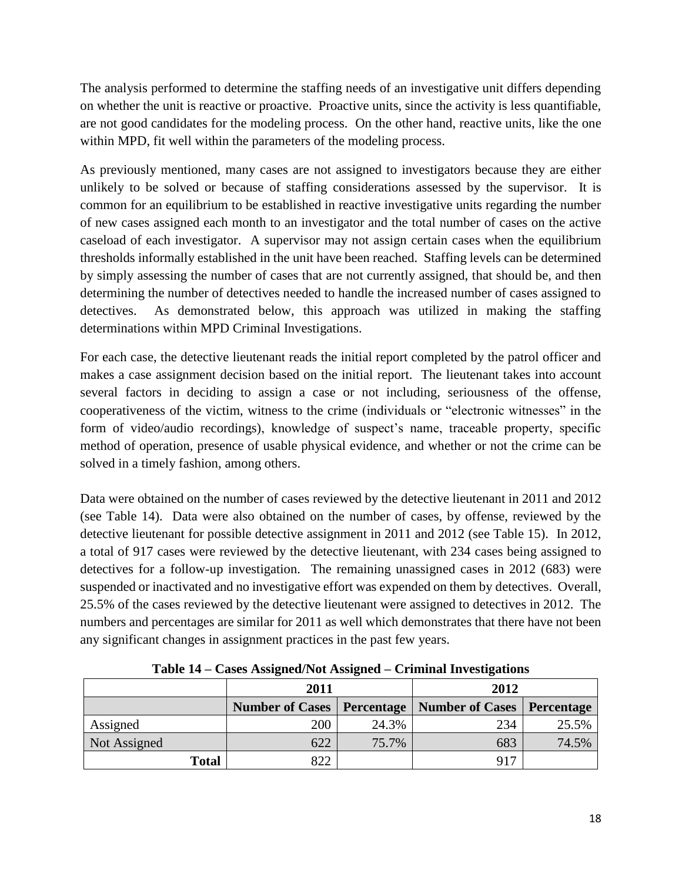The analysis performed to determine the staffing needs of an investigative unit differs depending on whether the unit is reactive or proactive. Proactive units, since the activity is less quantifiable, are not good candidates for the modeling process. On the other hand, reactive units, like the one within MPD, fit well within the parameters of the modeling process.

As previously mentioned, many cases are not assigned to investigators because they are either unlikely to be solved or because of staffing considerations assessed by the supervisor. It is common for an equilibrium to be established in reactive investigative units regarding the number of new cases assigned each month to an investigator and the total number of cases on the active caseload of each investigator. A supervisor may not assign certain cases when the equilibrium thresholds informally established in the unit have been reached. Staffing levels can be determined by simply assessing the number of cases that are not currently assigned, that should be, and then determining the number of detectives needed to handle the increased number of cases assigned to detectives. As demonstrated below, this approach was utilized in making the staffing determinations within MPD Criminal Investigations.

For each case, the detective lieutenant reads the initial report completed by the patrol officer and makes a case assignment decision based on the initial report. The lieutenant takes into account several factors in deciding to assign a case or not including, seriousness of the offense, cooperativeness of the victim, witness to the crime (individuals or "electronic witnesses" in the form of video/audio recordings), knowledge of suspect's name, traceable property, specific method of operation, presence of usable physical evidence, and whether or not the crime can be solved in a timely fashion, among others.

Data were obtained on the number of cases reviewed by the detective lieutenant in 2011 and 2012 (see Table 14). Data were also obtained on the number of cases, by offense, reviewed by the detective lieutenant for possible detective assignment in 2011 and 2012 (see Table 15). In 2012, a total of 917 cases were reviewed by the detective lieutenant, with 234 cases being assigned to detectives for a follow-up investigation. The remaining unassigned cases in 2012 (683) were suspended or inactivated and no investigative effort was expended on them by detectives. Overall, 25.5% of the cases reviewed by the detective lieutenant were assigned to detectives in 2012. The numbers and percentages are similar for 2011 as well which demonstrates that there have not been any significant changes in assignment practices in the past few years.

|              | 2011 |       | 2012                                           |            |  |
|--------------|------|-------|------------------------------------------------|------------|--|
|              |      |       | Number of Cases   Percentage   Number of Cases | Percentage |  |
| Assigned     | 200  | 24.3% | 234                                            | 25.5%      |  |
| Not Assigned | 622  | 75.7% | 683                                            | 74.5%      |  |
| <b>Total</b> | 822  |       | 917                                            |            |  |

**Table 14 – Cases Assigned/Not Assigned – Criminal Investigations**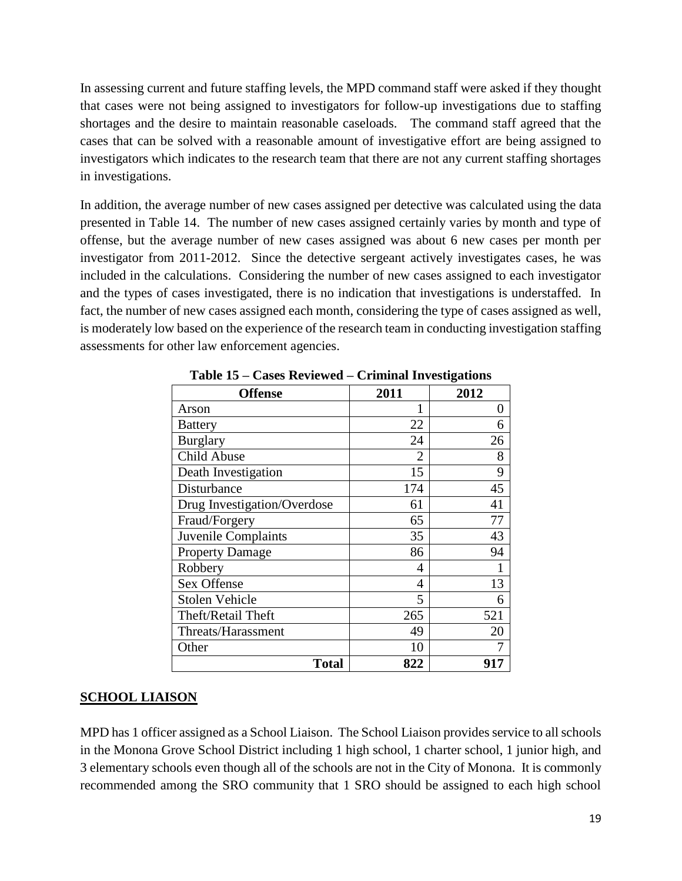In assessing current and future staffing levels, the MPD command staff were asked if they thought that cases were not being assigned to investigators for follow-up investigations due to staffing shortages and the desire to maintain reasonable caseloads. The command staff agreed that the cases that can be solved with a reasonable amount of investigative effort are being assigned to investigators which indicates to the research team that there are not any current staffing shortages in investigations.

In addition, the average number of new cases assigned per detective was calculated using the data presented in Table 14. The number of new cases assigned certainly varies by month and type of offense, but the average number of new cases assigned was about 6 new cases per month per investigator from 2011-2012. Since the detective sergeant actively investigates cases, he was included in the calculations. Considering the number of new cases assigned to each investigator and the types of cases investigated, there is no indication that investigations is understaffed. In fact, the number of new cases assigned each month, considering the type of cases assigned as well, is moderately low based on the experience of the research team in conducting investigation staffing assessments for other law enforcement agencies.

| <b>Offense</b>              | 2011 | 2012 |
|-----------------------------|------|------|
| Arson                       |      | 0    |
| <b>Battery</b>              | 22   | 6    |
| <b>Burglary</b>             | 24   | 26   |
| Child Abuse                 | 2    | 8    |
| Death Investigation         | 15   | 9    |
| Disturbance                 | 174  | 45   |
| Drug Investigation/Overdose | 61   | 41   |
| Fraud/Forgery               | 65   | 77   |
| Juvenile Complaints         | 35   | 43   |
| <b>Property Damage</b>      | 86   | 94   |
| Robbery                     | 4    |      |
| Sex Offense                 | 4    | 13   |
| <b>Stolen Vehicle</b>       | 5    | 6    |
| Theft/Retail Theft          | 265  | 521  |
| Threats/Harassment          | 49   | 20   |
| Other                       | 10   |      |
| <b>Total</b>                | 822  | 917  |

**Table 15 – Cases Reviewed – Criminal Investigations**

#### **SCHOOL LIAISON**

MPD has 1 officer assigned as a School Liaison. The School Liaison provides service to all schools in the Monona Grove School District including 1 high school, 1 charter school, 1 junior high, and 3 elementary schools even though all of the schools are not in the City of Monona. It is commonly recommended among the SRO community that 1 SRO should be assigned to each high school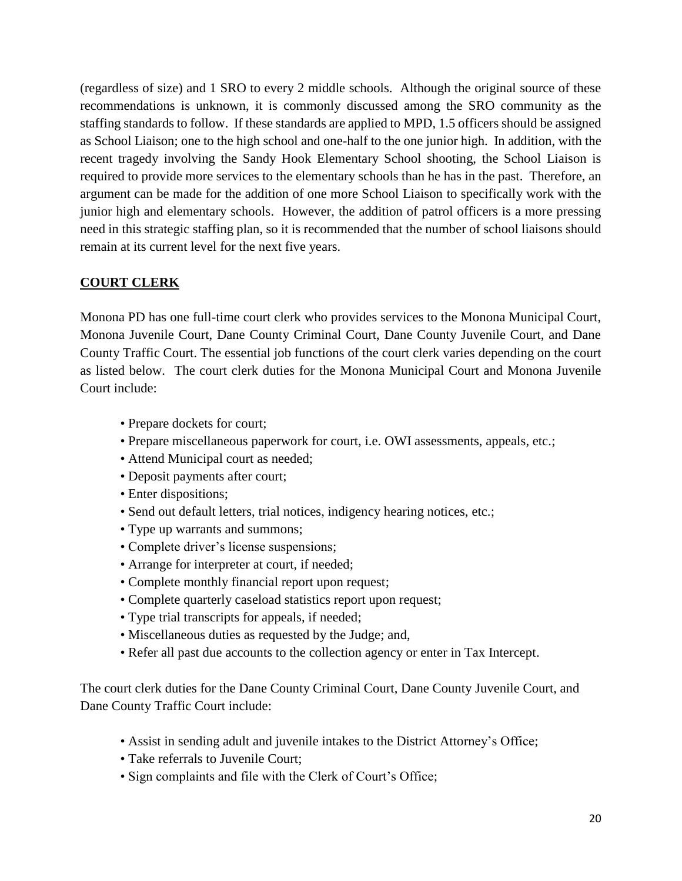(regardless of size) and 1 SRO to every 2 middle schools. Although the original source of these recommendations is unknown, it is commonly discussed among the SRO community as the staffing standards to follow. If these standards are applied to MPD, 1.5 officers should be assigned as School Liaison; one to the high school and one-half to the one junior high. In addition, with the recent tragedy involving the Sandy Hook Elementary School shooting, the School Liaison is required to provide more services to the elementary schools than he has in the past. Therefore, an argument can be made for the addition of one more School Liaison to specifically work with the junior high and elementary schools. However, the addition of patrol officers is a more pressing need in this strategic staffing plan, so it is recommended that the number of school liaisons should remain at its current level for the next five years.

### **COURT CLERK**

Monona PD has one full-time court clerk who provides services to the Monona Municipal Court, Monona Juvenile Court, Dane County Criminal Court, Dane County Juvenile Court, and Dane County Traffic Court. The essential job functions of the court clerk varies depending on the court as listed below. The court clerk duties for the Monona Municipal Court and Monona Juvenile Court include:

- Prepare dockets for court;
- Prepare miscellaneous paperwork for court, i.e. OWI assessments, appeals, etc.;
- Attend Municipal court as needed;
- Deposit payments after court;
- Enter dispositions;
- Send out default letters, trial notices, indigency hearing notices, etc.;
- Type up warrants and summons;
- Complete driver's license suspensions;
- Arrange for interpreter at court, if needed;
- Complete monthly financial report upon request;
- Complete quarterly caseload statistics report upon request;
- Type trial transcripts for appeals, if needed;
- Miscellaneous duties as requested by the Judge; and,
- Refer all past due accounts to the collection agency or enter in Tax Intercept.

The court clerk duties for the Dane County Criminal Court, Dane County Juvenile Court, and Dane County Traffic Court include:

- Assist in sending adult and juvenile intakes to the District Attorney's Office;
- Take referrals to Juvenile Court;
- Sign complaints and file with the Clerk of Court's Office;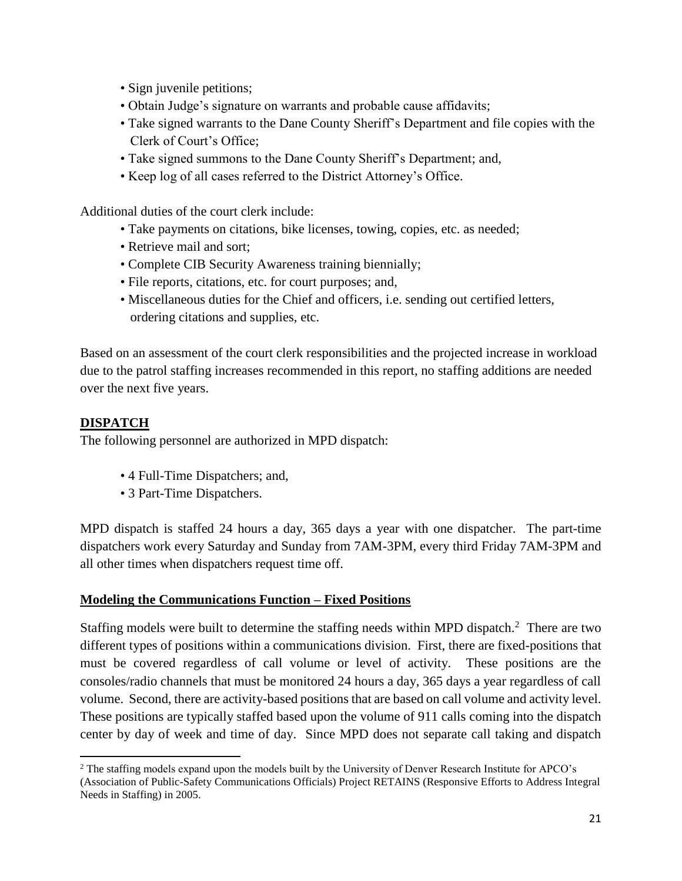- Sign juvenile petitions;
- Obtain Judge's signature on warrants and probable cause affidavits;
- Take signed warrants to the Dane County Sheriff's Department and file copies with the Clerk of Court's Office;
- Take signed summons to the Dane County Sheriff's Department; and,
- Keep log of all cases referred to the District Attorney's Office.

Additional duties of the court clerk include:

- Take payments on citations, bike licenses, towing, copies, etc. as needed;
- Retrieve mail and sort;
- Complete CIB Security Awareness training biennially;
- File reports, citations, etc. for court purposes; and,
- Miscellaneous duties for the Chief and officers, i.e. sending out certified letters, ordering citations and supplies, etc.

Based on an assessment of the court clerk responsibilities and the projected increase in workload due to the patrol staffing increases recommended in this report, no staffing additions are needed over the next five years.

### **DISPATCH**

 $\overline{\phantom{a}}$ 

The following personnel are authorized in MPD dispatch:

- 4 Full-Time Dispatchers; and,
- 3 Part-Time Dispatchers.

MPD dispatch is staffed 24 hours a day, 365 days a year with one dispatcher. The part-time dispatchers work every Saturday and Sunday from 7AM-3PM, every third Friday 7AM-3PM and all other times when dispatchers request time off.

### **Modeling the Communications Function – Fixed Positions**

Staffing models were built to determine the staffing needs within MPD dispatch.<sup>2</sup> There are two different types of positions within a communications division. First, there are fixed-positions that must be covered regardless of call volume or level of activity. These positions are the consoles/radio channels that must be monitored 24 hours a day, 365 days a year regardless of call volume. Second, there are activity-based positions that are based on call volume and activity level. These positions are typically staffed based upon the volume of 911 calls coming into the dispatch center by day of week and time of day. Since MPD does not separate call taking and dispatch

<sup>&</sup>lt;sup>2</sup> The staffing models expand upon the models built by the University of Denver Research Institute for APCO's (Association of Public-Safety Communications Officials) Project RETAINS (Responsive Efforts to Address Integral Needs in Staffing) in 2005.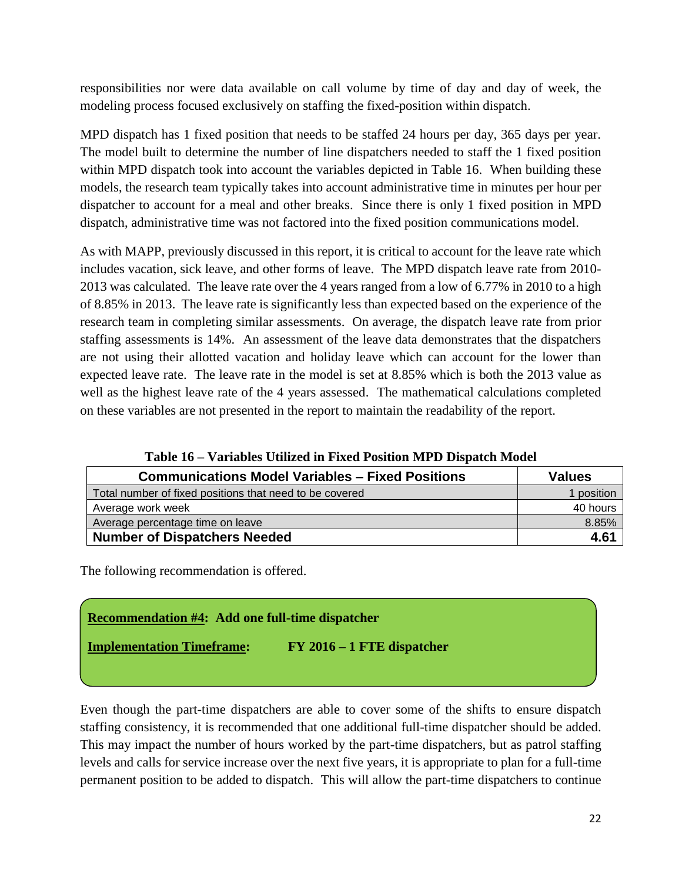responsibilities nor were data available on call volume by time of day and day of week, the modeling process focused exclusively on staffing the fixed-position within dispatch.

MPD dispatch has 1 fixed position that needs to be staffed 24 hours per day, 365 days per year. The model built to determine the number of line dispatchers needed to staff the 1 fixed position within MPD dispatch took into account the variables depicted in Table 16. When building these models, the research team typically takes into account administrative time in minutes per hour per dispatcher to account for a meal and other breaks. Since there is only 1 fixed position in MPD dispatch, administrative time was not factored into the fixed position communications model.

As with MAPP, previously discussed in this report, it is critical to account for the leave rate which includes vacation, sick leave, and other forms of leave. The MPD dispatch leave rate from 2010- 2013 was calculated. The leave rate over the 4 years ranged from a low of 6.77% in 2010 to a high of 8.85% in 2013. The leave rate is significantly less than expected based on the experience of the research team in completing similar assessments. On average, the dispatch leave rate from prior staffing assessments is 14%. An assessment of the leave data demonstrates that the dispatchers are not using their allotted vacation and holiday leave which can account for the lower than expected leave rate. The leave rate in the model is set at 8.85% which is both the 2013 value as well as the highest leave rate of the 4 years assessed. The mathematical calculations completed on these variables are not presented in the report to maintain the readability of the report.

| <b>Communications Model Variables - Fixed Positions</b> | <b>Values</b> |
|---------------------------------------------------------|---------------|
| Total number of fixed positions that need to be covered | 1 position    |
| Average work week                                       | 40 hours      |
| Average percentage time on leave                        | 8.85%         |
| <b>Number of Dispatchers Needed</b>                     | 4.61          |

**Table 16 – Variables Utilized in Fixed Position MPD Dispatch Model**

The following recommendation is offered.

### **Recommendation #4: Add one full-time dispatcher**

**Implementation Timeframe: FY 2016 – 1 FTE dispatcher**

Even though the part-time dispatchers are able to cover some of the shifts to ensure dispatch staffing consistency, it is recommended that one additional full-time dispatcher should be added. This may impact the number of hours worked by the part-time dispatchers, but as patrol staffing levels and calls for service increase over the next five years, it is appropriate to plan for a full-time permanent position to be added to dispatch. This will allow the part-time dispatchers to continue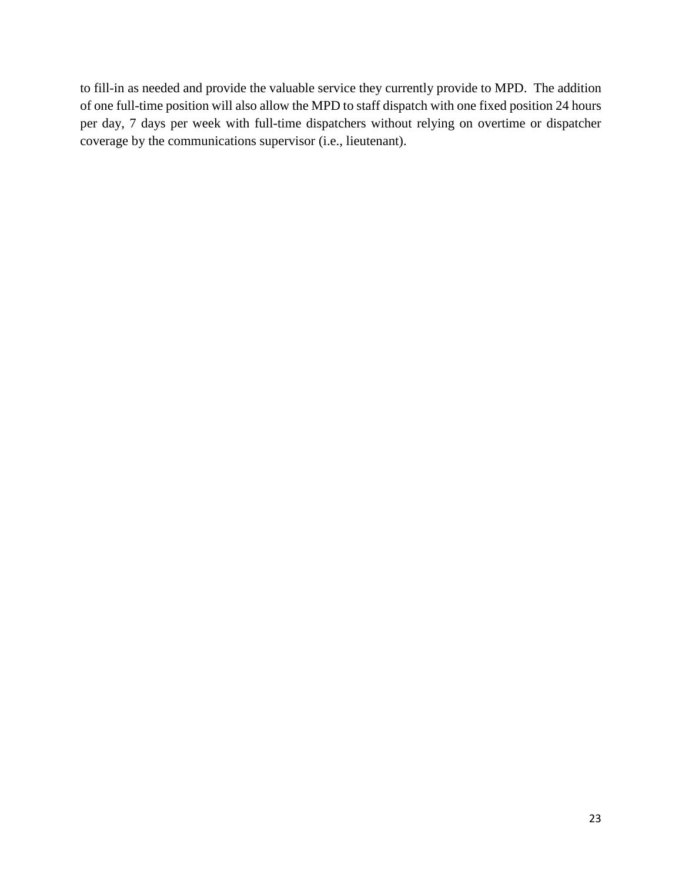to fill-in as needed and provide the valuable service they currently provide to MPD. The addition of one full-time position will also allow the MPD to staff dispatch with one fixed position 24 hours per day, 7 days per week with full-time dispatchers without relying on overtime or dispatcher coverage by the communications supervisor (i.e., lieutenant).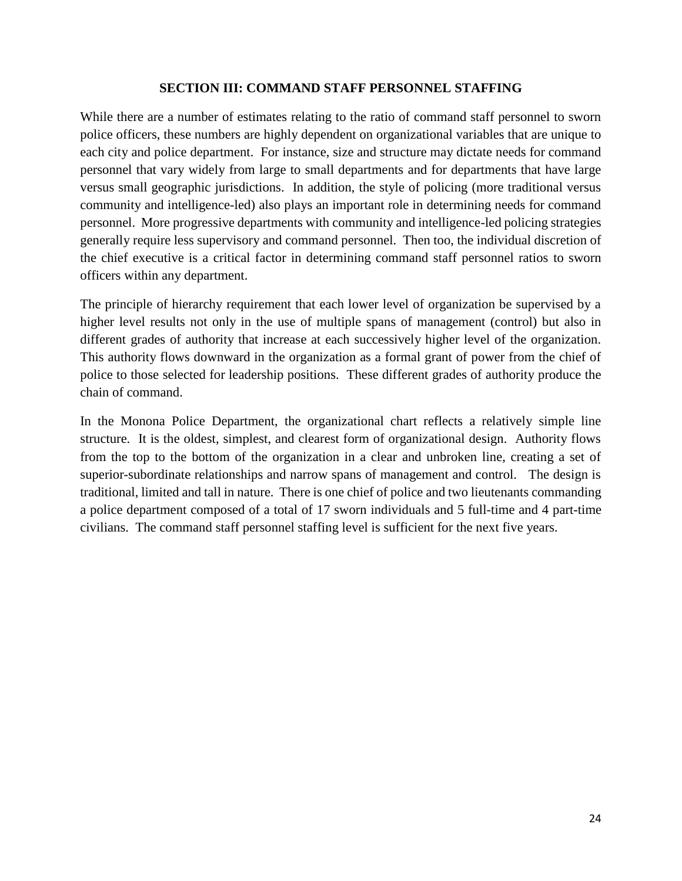#### **SECTION III: COMMAND STAFF PERSONNEL STAFFING**

While there are a number of estimates relating to the ratio of command staff personnel to sworn police officers, these numbers are highly dependent on organizational variables that are unique to each city and police department. For instance, size and structure may dictate needs for command personnel that vary widely from large to small departments and for departments that have large versus small geographic jurisdictions. In addition, the style of policing (more traditional versus community and intelligence-led) also plays an important role in determining needs for command personnel. More progressive departments with community and intelligence-led policing strategies generally require less supervisory and command personnel. Then too, the individual discretion of the chief executive is a critical factor in determining command staff personnel ratios to sworn officers within any department.

The principle of hierarchy requirement that each lower level of organization be supervised by a higher level results not only in the use of multiple spans of management (control) but also in different grades of authority that increase at each successively higher level of the organization. This authority flows downward in the organization as a formal grant of power from the chief of police to those selected for leadership positions. These different grades of authority produce the chain of command.

In the Monona Police Department, the organizational chart reflects a relatively simple line structure. It is the oldest, simplest, and clearest form of organizational design. Authority flows from the top to the bottom of the organization in a clear and unbroken line, creating a set of superior-subordinate relationships and narrow spans of management and control. The design is traditional, limited and tall in nature. There is one chief of police and two lieutenants commanding a police department composed of a total of 17 sworn individuals and 5 full-time and 4 part-time civilians. The command staff personnel staffing level is sufficient for the next five years.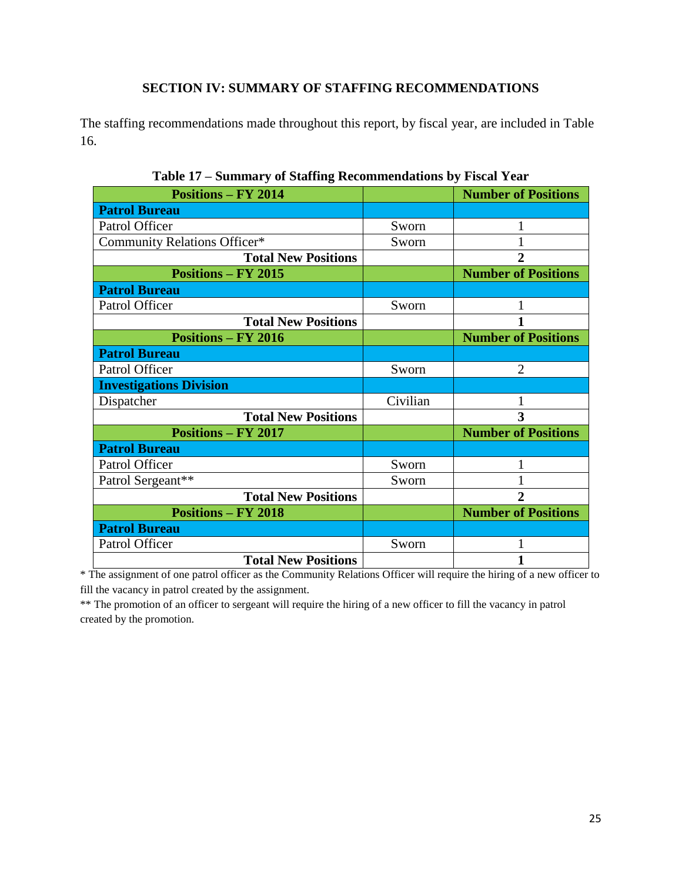### **SECTION IV: SUMMARY OF STAFFING RECOMMENDATIONS**

The staffing recommendations made throughout this report, by fiscal year, are included in Table 16.

| <b>Positions - FY 2014</b>     |          | <b>Number of Positions</b> |
|--------------------------------|----------|----------------------------|
| <b>Patrol Bureau</b>           |          |                            |
| Patrol Officer                 | Sworn    | 1                          |
| Community Relations Officer*   | Sworn    |                            |
| <b>Total New Positions</b>     |          | $\overline{2}$             |
| <b>Positions - FY 2015</b>     |          | <b>Number of Positions</b> |
| <b>Patrol Bureau</b>           |          |                            |
| Patrol Officer                 | Sworn    |                            |
| <b>Total New Positions</b>     |          |                            |
| <b>Positions – FY 2016</b>     |          | <b>Number of Positions</b> |
| <b>Patrol Bureau</b>           |          |                            |
| Patrol Officer                 | Sworn    | $\overline{2}$             |
|                                |          |                            |
| <b>Investigations Division</b> |          |                            |
| Dispatcher                     | Civilian | 1                          |
| <b>Total New Positions</b>     |          | 3                          |
| <b>Positions - FY 2017</b>     |          | <b>Number of Positions</b> |
| <b>Patrol Bureau</b>           |          |                            |
| Patrol Officer                 | Sworn    | 1                          |
| Patrol Sergeant**              | Sworn    |                            |
| <b>Total New Positions</b>     |          | $\overline{2}$             |
| <b>Positions - FY 2018</b>     |          | <b>Number of Positions</b> |
| <b>Patrol Bureau</b>           |          |                            |
| Patrol Officer                 | Sworn    | 1                          |
| <b>Total New Positions</b>     |          | 1                          |

**Table 17 – Summary of Staffing Recommendations by Fiscal Year**

\* The assignment of one patrol officer as the Community Relations Officer will require the hiring of a new officer to fill the vacancy in patrol created by the assignment.

\*\* The promotion of an officer to sergeant will require the hiring of a new officer to fill the vacancy in patrol created by the promotion.